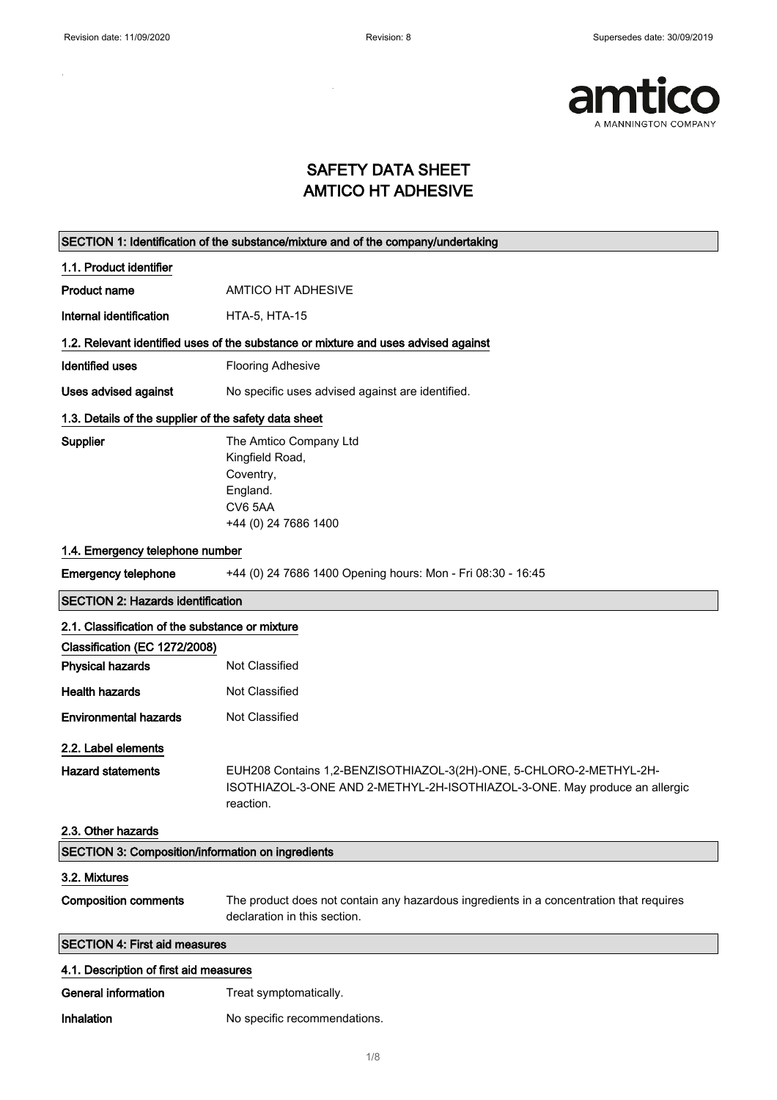$\sim$ 

 $\mathbf{r}$ 



### SAFETY DATA SHEET AMTICO HT ADHESIVE

|                                                       | SECTION 1: Identification of the substance/mixture and of the company/undertaking                                       |
|-------------------------------------------------------|-------------------------------------------------------------------------------------------------------------------------|
| 1.1. Product identifier                               |                                                                                                                         |
| <b>Product name</b>                                   | <b>AMTICO HT ADHESIVE</b>                                                                                               |
| Internal identification                               | <b>HTA-5, HTA-15</b>                                                                                                    |
|                                                       | 1.2. Relevant identified uses of the substance or mixture and uses advised against                                      |
| <b>Identified uses</b>                                | <b>Flooring Adhesive</b>                                                                                                |
| <b>Uses advised against</b>                           | No specific uses advised against are identified.                                                                        |
| 1.3. Details of the supplier of the safety data sheet |                                                                                                                         |
| Supplier                                              | The Amtico Company Ltd<br>Kingfield Road,<br>Coventry,<br>England.<br>CV6 5AA<br>+44 (0) 24 7686 1400                   |
| 1.4. Emergency telephone number                       |                                                                                                                         |
| <b>Emergency telephone</b>                            | +44 (0) 24 7686 1400 Opening hours: Mon - Fri 08:30 - 16:45                                                             |
| <b>SECTION 2: Hazards identification</b>              |                                                                                                                         |
| 2.1. Classification of the substance or mixture       |                                                                                                                         |
| Classification (EC 1272/2008)                         |                                                                                                                         |
| <b>Physical hazards</b>                               | Not Classified                                                                                                          |
| <b>Health hazards</b>                                 | Not Classified                                                                                                          |
| <b>Environmental hazards</b>                          | Not Classified                                                                                                          |
| 2.2. Label elements                                   |                                                                                                                         |
| <b>Hazard statements</b>                              | EUH208 Contains 1,2-BENZISOTHIAZOL-3(2H)-ONE, 5-CHLORO-2-METHYL-2H-                                                     |
|                                                       | ISOTHIAZOL-3-ONE AND 2-METHYL-2H-ISOTHIAZOL-3-ONE. May produce an allergic<br>reaction.                                 |
| 2.3. Other hazards                                    |                                                                                                                         |
| SECTION 3: Composition/information on ingredients     |                                                                                                                         |
| 3.2. Mixtures                                         |                                                                                                                         |
| <b>Composition comments</b>                           | The product does not contain any hazardous ingredients in a concentration that requires<br>declaration in this section. |
| <b>SECTION 4: First aid measures</b>                  |                                                                                                                         |
| 4.1. Description of first aid measures                |                                                                                                                         |
| <b>General information</b>                            | Treat symptomatically.                                                                                                  |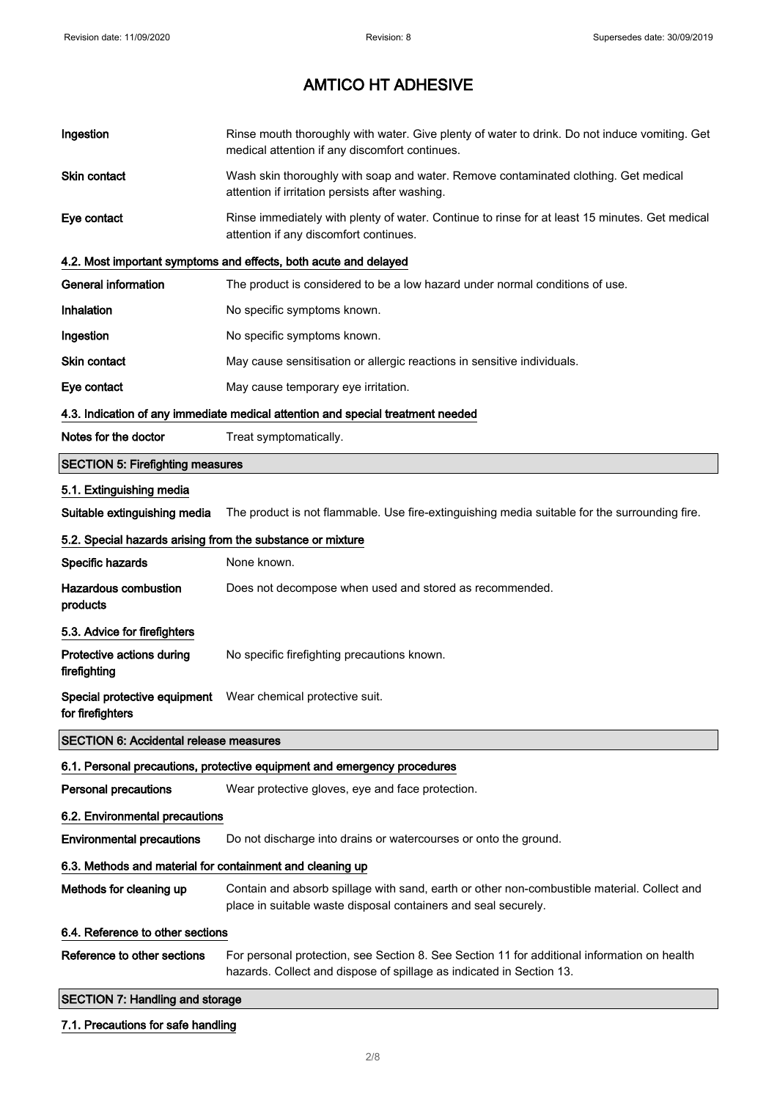| Ingestion                                                  | Rinse mouth thoroughly with water. Give plenty of water to drink. Do not induce vomiting. Get<br>medical attention if any discomfort continues.                     |
|------------------------------------------------------------|---------------------------------------------------------------------------------------------------------------------------------------------------------------------|
| Skin contact                                               | Wash skin thoroughly with soap and water. Remove contaminated clothing. Get medical<br>attention if irritation persists after washing.                              |
| Eye contact                                                | Rinse immediately with plenty of water. Continue to rinse for at least 15 minutes. Get medical<br>attention if any discomfort continues.                            |
|                                                            | 4.2. Most important symptoms and effects, both acute and delayed                                                                                                    |
| <b>General information</b>                                 | The product is considered to be a low hazard under normal conditions of use.                                                                                        |
| Inhalation                                                 | No specific symptoms known.                                                                                                                                         |
| Ingestion                                                  | No specific symptoms known.                                                                                                                                         |
| Skin contact                                               | May cause sensitisation or allergic reactions in sensitive individuals.                                                                                             |
| Eye contact                                                | May cause temporary eye irritation.                                                                                                                                 |
|                                                            | 4.3. Indication of any immediate medical attention and special treatment needed                                                                                     |
| Notes for the doctor                                       | Treat symptomatically.                                                                                                                                              |
| <b>SECTION 5: Firefighting measures</b>                    |                                                                                                                                                                     |
| 5.1. Extinguishing media                                   |                                                                                                                                                                     |
| Suitable extinguishing media                               | The product is not flammable. Use fire-extinguishing media suitable for the surrounding fire.                                                                       |
| 5.2. Special hazards arising from the substance or mixture |                                                                                                                                                                     |
| Specific hazards                                           | None known.                                                                                                                                                         |
| <b>Hazardous combustion</b><br>products                    | Does not decompose when used and stored as recommended.                                                                                                             |
| 5.3. Advice for firefighters                               |                                                                                                                                                                     |
| Protective actions during<br>firefighting                  | No specific firefighting precautions known.                                                                                                                         |
| for firefighters                                           | Special protective equipment  Wear chemical protective suit.                                                                                                        |
| <b>SECTION 6: Accidental release measures</b>              |                                                                                                                                                                     |
|                                                            | 6.1. Personal precautions, protective equipment and emergency procedures                                                                                            |
| <b>Personal precautions</b>                                | Wear protective gloves, eye and face protection.                                                                                                                    |
| 6.2. Environmental precautions                             |                                                                                                                                                                     |
| <b>Environmental precautions</b>                           | Do not discharge into drains or watercourses or onto the ground.                                                                                                    |
| 6.3. Methods and material for containment and cleaning up  |                                                                                                                                                                     |
| Methods for cleaning up                                    | Contain and absorb spillage with sand, earth or other non-combustible material. Collect and<br>place in suitable waste disposal containers and seal securely.       |
| 6.4. Reference to other sections                           |                                                                                                                                                                     |
| Reference to other sections                                | For personal protection, see Section 8. See Section 11 for additional information on health<br>hazards. Collect and dispose of spillage as indicated in Section 13. |
| <b>SECTION 7: Handling and storage</b>                     |                                                                                                                                                                     |
| 7.1. Precautions for safe handling                         |                                                                                                                                                                     |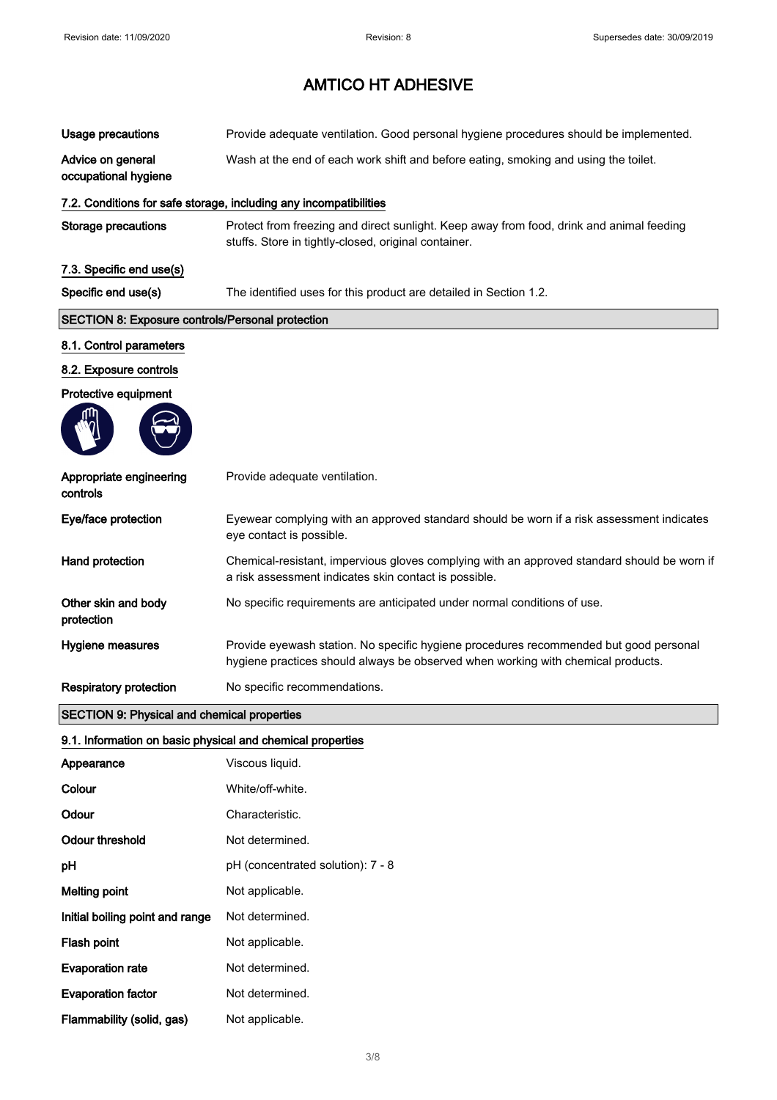| <b>Usage precautions</b>                                   | Provide adequate ventilation. Good personal hygiene procedures should be implemented.                                                                                     |
|------------------------------------------------------------|---------------------------------------------------------------------------------------------------------------------------------------------------------------------------|
| Advice on general<br>occupational hygiene                  | Wash at the end of each work shift and before eating, smoking and using the toilet.                                                                                       |
|                                                            | 7.2. Conditions for safe storage, including any incompatibilities                                                                                                         |
| <b>Storage precautions</b>                                 | Protect from freezing and direct sunlight. Keep away from food, drink and animal feeding<br>stuffs. Store in tightly-closed, original container.                          |
| 7.3. Specific end use(s)                                   |                                                                                                                                                                           |
| Specific end use(s)                                        | The identified uses for this product are detailed in Section 1.2.                                                                                                         |
| <b>SECTION 8: Exposure controls/Personal protection</b>    |                                                                                                                                                                           |
| 8.1. Control parameters                                    |                                                                                                                                                                           |
| 8.2. Exposure controls                                     |                                                                                                                                                                           |
| Protective equipment                                       |                                                                                                                                                                           |
|                                                            |                                                                                                                                                                           |
| Appropriate engineering<br>controls                        | Provide adequate ventilation.                                                                                                                                             |
| Eye/face protection                                        | Eyewear complying with an approved standard should be worn if a risk assessment indicates<br>eye contact is possible.                                                     |
| Hand protection                                            | Chemical-resistant, impervious gloves complying with an approved standard should be worn if<br>a risk assessment indicates skin contact is possible.                      |
| Other skin and body<br>protection                          | No specific requirements are anticipated under normal conditions of use.                                                                                                  |
| Hygiene measures                                           | Provide eyewash station. No specific hygiene procedures recommended but good personal<br>hygiene practices should always be observed when working with chemical products. |
| <b>Respiratory protection</b>                              | No specific recommendations.                                                                                                                                              |
| <b>SECTION 9: Physical and chemical properties</b>         |                                                                                                                                                                           |
| 9.1. Information on basic physical and chemical properties |                                                                                                                                                                           |
| Appearance                                                 | Viscous liquid.                                                                                                                                                           |
| Colour                                                     | White/off-white.                                                                                                                                                          |
| Odour                                                      | Characteristic.                                                                                                                                                           |
| <b>Odour threshold</b>                                     | Not determined.                                                                                                                                                           |
| pH                                                         | pH (concentrated solution): 7 - 8                                                                                                                                         |
| <b>Melting point</b>                                       | Not applicable.                                                                                                                                                           |
| Initial boiling point and range                            | Not determined.                                                                                                                                                           |
| Flash point                                                | Not applicable.                                                                                                                                                           |
| <b>Evaporation rate</b>                                    | Not determined.                                                                                                                                                           |
|                                                            |                                                                                                                                                                           |

Evaporation factor **Not determined.** Flammability (solid, gas) Not applicable.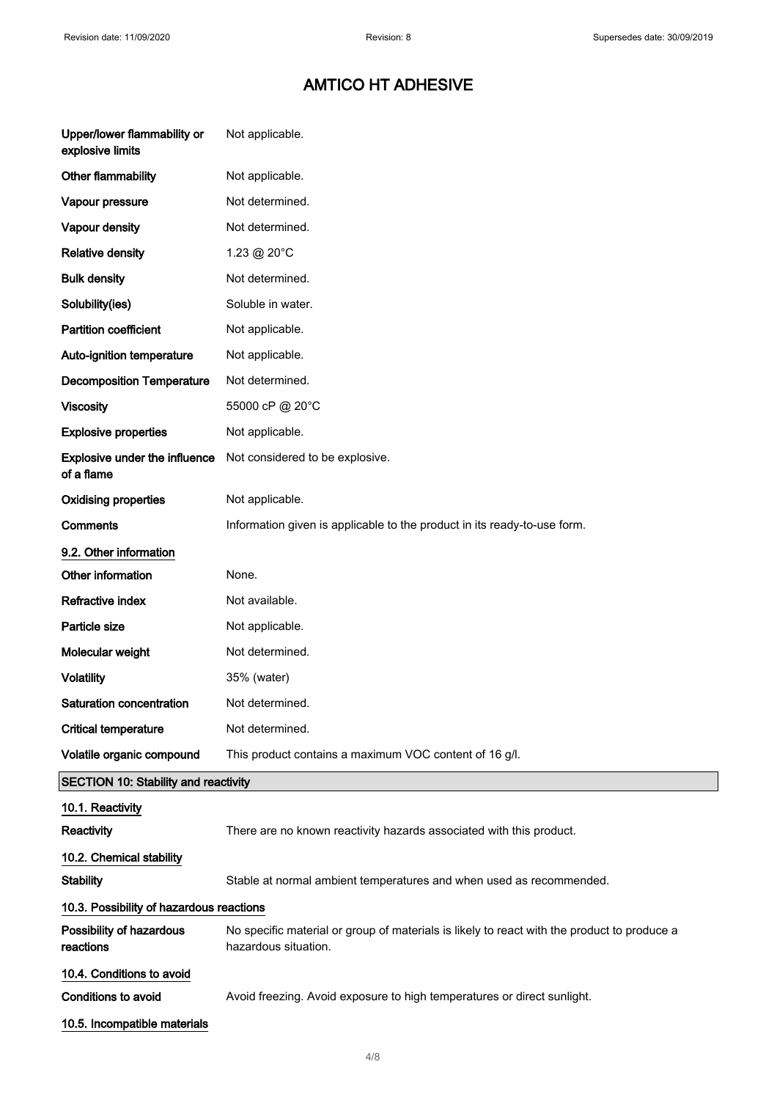| Upper/lower flammability or<br>explosive limits    | Not applicable.                                                                                                     |
|----------------------------------------------------|---------------------------------------------------------------------------------------------------------------------|
| Other flammability                                 | Not applicable.                                                                                                     |
| Vapour pressure                                    | Not determined.                                                                                                     |
| <b>Vapour density</b>                              | Not determined.                                                                                                     |
| <b>Relative density</b>                            | 1.23 @ 20°C                                                                                                         |
| <b>Bulk density</b>                                | Not determined.                                                                                                     |
| Solubility(ies)                                    | Soluble in water.                                                                                                   |
| <b>Partition coefficient</b>                       | Not applicable.                                                                                                     |
| Auto-ignition temperature                          | Not applicable.                                                                                                     |
| <b>Decomposition Temperature</b>                   | Not determined.                                                                                                     |
| <b>Viscosity</b>                                   | 55000 cP @ 20°C                                                                                                     |
| <b>Explosive properties</b>                        | Not applicable.                                                                                                     |
| <b>Explosive under the influence</b><br>of a flame | Not considered to be explosive.                                                                                     |
| <b>Oxidising properties</b>                        | Not applicable.                                                                                                     |
| Comments                                           | Information given is applicable to the product in its ready-to-use form.                                            |
| 9.2. Other information                             |                                                                                                                     |
| Other information                                  | None.                                                                                                               |
| Refractive index                                   | Not available.                                                                                                      |
| Particle size                                      | Not applicable.                                                                                                     |
| Molecular weight                                   | Not determined.                                                                                                     |
| <b>Volatility</b>                                  | 35% (water)                                                                                                         |
| <b>Saturation concentration</b>                    | Not determined.                                                                                                     |
| <b>Critical temperature</b>                        | Not determined.                                                                                                     |
| Volatile organic compound                          | This product contains a maximum VOC content of 16 g/l.                                                              |
| <b>SECTION 10: Stability and reactivity</b>        |                                                                                                                     |
| 10.1. Reactivity                                   |                                                                                                                     |
| Reactivity                                         | There are no known reactivity hazards associated with this product.                                                 |
| 10.2. Chemical stability                           |                                                                                                                     |
| <b>Stability</b>                                   | Stable at normal ambient temperatures and when used as recommended.                                                 |
| 10.3. Possibility of hazardous reactions           |                                                                                                                     |
| Possibility of hazardous<br>reactions              | No specific material or group of materials is likely to react with the product to produce a<br>hazardous situation. |
| 10.4. Conditions to avoid                          |                                                                                                                     |
| Conditions to avoid                                | Avoid freezing. Avoid exposure to high temperatures or direct sunlight.                                             |
| 10.5. Incompatible materials                       |                                                                                                                     |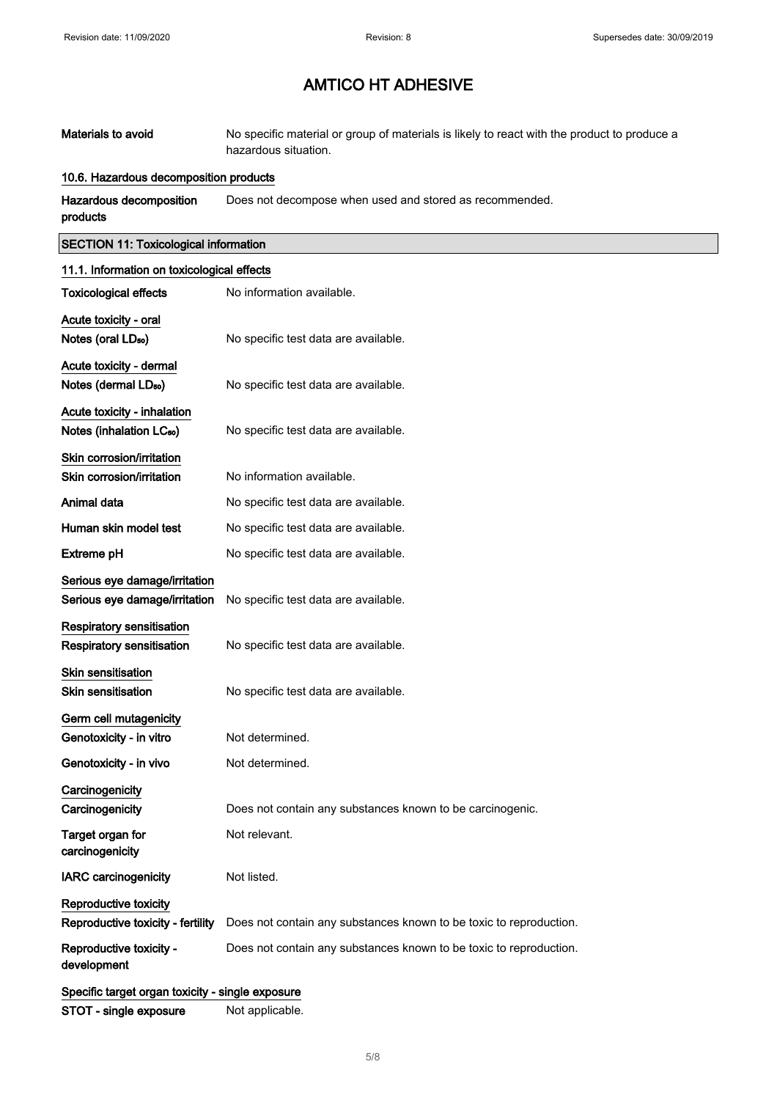| Materials to avoid | No specific material or group of materials is likely to react with the product to produce a |
|--------------------|---------------------------------------------------------------------------------------------|
|                    | hazardous situation.                                                                        |

#### 10.6. Hazardous decomposition products

Hazardous decomposition products Does not decompose when used and stored as recommended.

### SECTION 11: Toxicological information

| 11.1. Information on toxicological effects       |                                                                    |
|--------------------------------------------------|--------------------------------------------------------------------|
| <b>Toxicological effects</b>                     | No information available.                                          |
| Acute toxicity - oral                            |                                                                    |
| Notes (oral LD <sub>50</sub> )                   | No specific test data are available.                               |
| Acute toxicity - dermal                          |                                                                    |
| Notes (dermal LD <sub>50</sub> )                 | No specific test data are available.                               |
| Acute toxicity - inhalation                      |                                                                    |
| Notes (inhalation LC <sub>50</sub> )             | No specific test data are available.                               |
| Skin corrosion/irritation                        |                                                                    |
| Skin corrosion/irritation                        | No information available.                                          |
| Animal data                                      | No specific test data are available.                               |
| Human skin model test                            | No specific test data are available.                               |
| Extreme pH                                       | No specific test data are available.                               |
| Serious eye damage/irritation                    |                                                                    |
| Serious eye damage/irritation                    | No specific test data are available.                               |
| <b>Respiratory sensitisation</b>                 |                                                                    |
| <b>Respiratory sensitisation</b>                 | No specific test data are available.                               |
| <b>Skin sensitisation</b>                        |                                                                    |
| <b>Skin sensitisation</b>                        | No specific test data are available.                               |
| Germ cell mutagenicity                           |                                                                    |
| Genotoxicity - in vitro                          | Not determined.                                                    |
| Genotoxicity - in vivo                           | Not determined.                                                    |
| Carcinogenicity                                  |                                                                    |
| Carcinogenicity                                  | Does not contain any substances known to be carcinogenic.          |
| Target organ for<br>carcinogenicity              | Not relevant.                                                      |
| <b>IARC</b> carcinogenicity                      | Not listed.                                                        |
|                                                  |                                                                    |
| Reproductive toxicity                            |                                                                    |
| Reproductive toxicity - fertility                | Does not contain any substances known to be toxic to reproduction. |
| Reproductive toxicity -<br>development           | Does not contain any substances known to be toxic to reproduction. |
| Specific target organ toxicity - single exposure |                                                                    |
| STOT - single exposure                           | Not applicable.                                                    |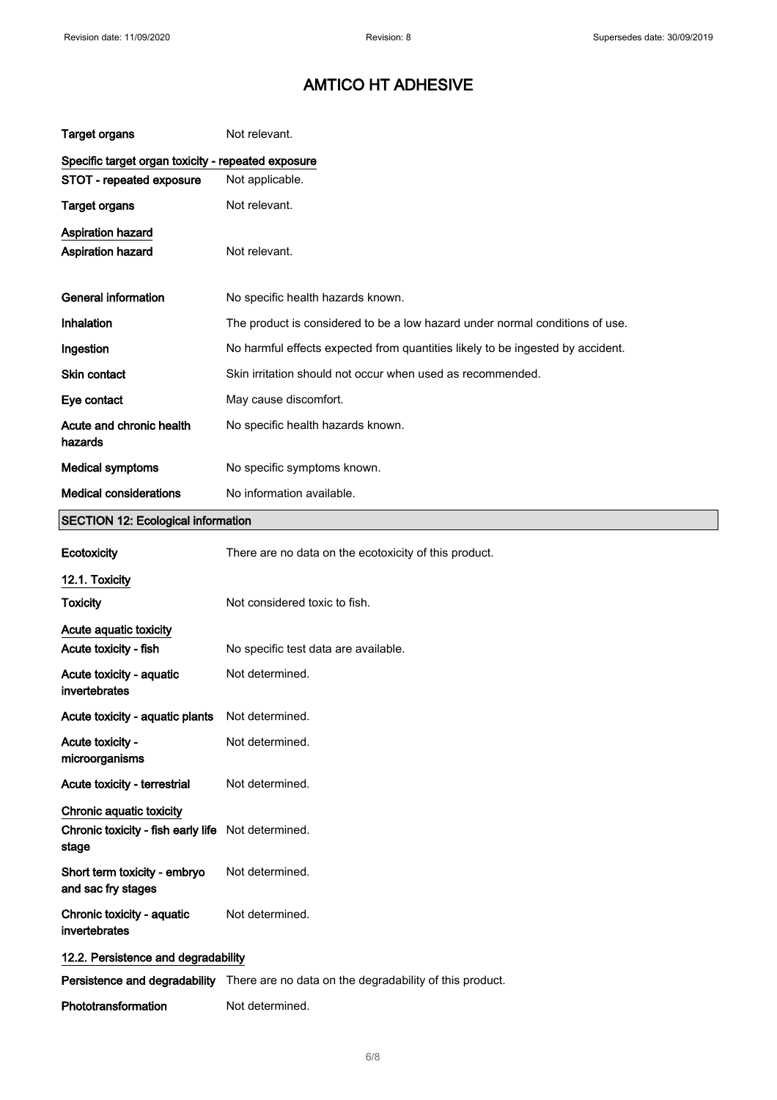| <b>Target organs</b>                                                    | Not relevant.                                                                         |
|-------------------------------------------------------------------------|---------------------------------------------------------------------------------------|
| Specific target organ toxicity - repeated exposure                      |                                                                                       |
| STOT - repeated exposure                                                | Not applicable.                                                                       |
| <b>Target organs</b>                                                    | Not relevant.                                                                         |
| Aspiration hazard<br>Aspiration hazard                                  | Not relevant.                                                                         |
| <b>General information</b>                                              | No specific health hazards known.                                                     |
| Inhalation                                                              | The product is considered to be a low hazard under normal conditions of use.          |
| Ingestion                                                               | No harmful effects expected from quantities likely to be ingested by accident.        |
| <b>Skin contact</b>                                                     | Skin irritation should not occur when used as recommended.                            |
| Eye contact                                                             | May cause discomfort.                                                                 |
| Acute and chronic health<br>hazards                                     | No specific health hazards known.                                                     |
| <b>Medical symptoms</b>                                                 | No specific symptoms known.                                                           |
| <b>Medical considerations</b>                                           | No information available.                                                             |
| <b>SECTION 12: Ecological information</b>                               |                                                                                       |
| Ecotoxicity                                                             | There are no data on the ecotoxicity of this product.                                 |
| 12.1. Toxicity                                                          |                                                                                       |
| <b>Toxicity</b>                                                         | Not considered toxic to fish.                                                         |
| Acute aquatic toxicity                                                  |                                                                                       |
| Acute toxicity - fish                                                   | No specific test data are available.                                                  |
| Acute toxicity - aquatic<br>invertebrates                               | Not determined.                                                                       |
| Acute toxicity - aquatic plants                                         | Not determined.                                                                       |
| Acute toxicity -<br>microorganisms                                      | Not determined.                                                                       |
| Acute toxicity - terrestrial                                            | Not determined.                                                                       |
| Chronic aquatic toxicity<br>Chronic toxicity - fish early life<br>stage | Not determined.                                                                       |
| Short term toxicity - embryo                                            |                                                                                       |
| and sac fry stages                                                      | Not determined.                                                                       |
| Chronic toxicity - aquatic<br>invertebrates                             | Not determined.                                                                       |
| 12.2. Persistence and degradability                                     |                                                                                       |
|                                                                         | Persistence and degradability There are no data on the degradability of this product. |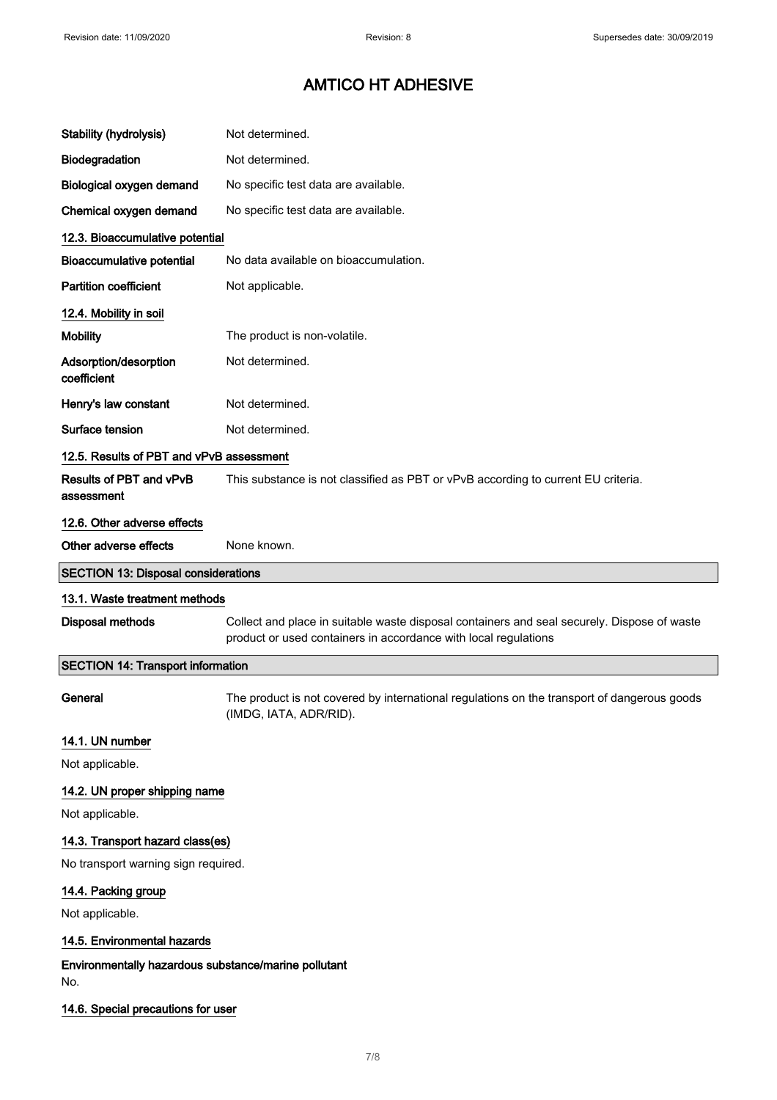| Stability (hydrolysis)                                      | Not determined.                                                                                                                                                |
|-------------------------------------------------------------|----------------------------------------------------------------------------------------------------------------------------------------------------------------|
| Biodegradation                                              | Not determined.                                                                                                                                                |
| Biological oxygen demand                                    | No specific test data are available.                                                                                                                           |
| Chemical oxygen demand                                      | No specific test data are available.                                                                                                                           |
| 12.3. Bioaccumulative potential                             |                                                                                                                                                                |
| <b>Bioaccumulative potential</b>                            | No data available on bioaccumulation.                                                                                                                          |
| <b>Partition coefficient</b>                                | Not applicable.                                                                                                                                                |
| 12.4. Mobility in soil                                      |                                                                                                                                                                |
| <b>Mobility</b>                                             | The product is non-volatile.                                                                                                                                   |
| Adsorption/desorption<br>coefficient                        | Not determined.                                                                                                                                                |
| Henry's law constant                                        | Not determined.                                                                                                                                                |
| Surface tension                                             | Not determined.                                                                                                                                                |
| 12.5. Results of PBT and vPvB assessment                    |                                                                                                                                                                |
| Results of PBT and vPvB<br>assessment                       | This substance is not classified as PBT or vPvB according to current EU criteria.                                                                              |
| 12.6. Other adverse effects                                 |                                                                                                                                                                |
| Other adverse effects                                       | None known.                                                                                                                                                    |
| <b>SECTION 13: Disposal considerations</b>                  |                                                                                                                                                                |
|                                                             |                                                                                                                                                                |
| 13.1. Waste treatment methods                               |                                                                                                                                                                |
| Disposal methods                                            | Collect and place in suitable waste disposal containers and seal securely. Dispose of waste<br>product or used containers in accordance with local regulations |
| <b>SECTION 14: Transport information</b>                    |                                                                                                                                                                |
| General                                                     | The product is not covered by international regulations on the transport of dangerous goods<br>(IMDG, IATA, ADR/RID).                                          |
| 14.1. UN number                                             |                                                                                                                                                                |
| Not applicable.                                             |                                                                                                                                                                |
| 14.2. UN proper shipping name                               |                                                                                                                                                                |
| Not applicable.                                             |                                                                                                                                                                |
| 14.3. Transport hazard class(es)                            |                                                                                                                                                                |
| No transport warning sign required.                         |                                                                                                                                                                |
| 14.4. Packing group                                         |                                                                                                                                                                |
| Not applicable.                                             |                                                                                                                                                                |
| 14.5. Environmental hazards                                 |                                                                                                                                                                |
| Environmentally hazardous substance/marine pollutant<br>No. |                                                                                                                                                                |